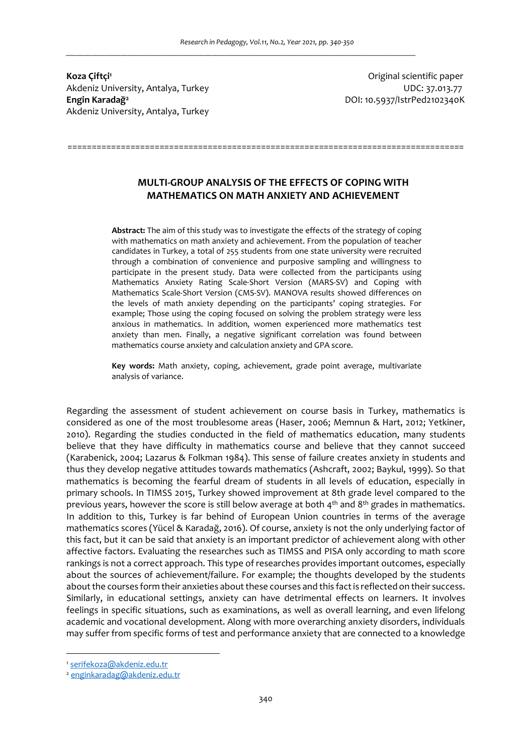**Koza Çiftçi<sup>1</sup>** Akdeniz University, Antalya, Turkey UDC: 37.013.77 **Engin Karadağ<sup>2</sup>** Akdeniz University, Antalya, Turkey

Original scientific paper DOI: 10.5937/IstrPed2102340K

# **MULTI-GROUP ANALYSIS OF THE EFFECTS OF COPING WITH MATHEMATICS ON MATH ANXIETY AND ACHIEVEMENT**

==================================================================================

**Abstract:** The aim of this study was to investigate the effects of the strategy of coping with mathematics on math anxiety and achievement. From the population of teacher candidates in Turkey, a total of 255 students from one state university were recruited through a combination of convenience and purposive sampling and willingness to participate in the present study. Data were collected from the participants using Mathematics Anxiety Rating Scale-Short Version (MARS-SV) and Coping with Mathematics Scale-Short Version (CMS-SV). MANOVA results showed differences on the levels of math anxiety depending on the participants' coping strategies. For example; Those using the coping focused on solving the problem strategy were less anxious in mathematics. In addition, women experienced more mathematics test anxiety than men. Finally, a negative significant correlation was found between mathematics course anxiety and calculation anxiety and GPA score.

**Key words:** Math anxiety, coping, achievement, grade point average, multivariate analysis of variance.

Regarding the assessment of student achievement on course basis in Turkey, mathematics is considered as one of the most troublesome areas (Haser, 2006; Memnun & Hart, 2012; Yetkiner, 2010). Regarding the studies conducted in the field of mathematics education, many students believe that they have difficulty in mathematics course and believe that they cannot succeed (Karabenick, 2004; Lazarus & Folkman 1984). This sense of failure creates anxiety in students and thus they develop negative attitudes towards mathematics (Ashcraft, 2002; Baykul, 1999). So that mathematics is becoming the fearful dream of students in all levels of education, especially in primary schools. In TIMSS 2015, Turkey showed improvement at 8th grade level compared to the previous years, however the score is still below average at both  $4<sup>th</sup>$  and  $8<sup>th</sup>$  grades in mathematics. In addition to this, Turkey is far behind of European Union countries in terms of the average mathematics scores (Yücel & Karadağ, 2016). Of course, anxiety is not the only underlying factor of this fact, but it can be said that anxiety is an important predictor of achievement along with other affective factors. Evaluating the researches such as TIMSS and PISA only according to math score rankings is not a correct approach. This type of researches provides important outcomes, especially about the sources of achievement/failure. For example; the thoughts developed by the students about the courses form their anxieties about these courses and this fact is reflected on their success. Similarly, in educational settings, anxiety can have detrimental effects on learners. It involves feelings in specific situations, such as examinations, as well as overall learning, and even lifelong academic and vocational development. Along with more overarching anxiety disorders, individuals may suffer from specific forms of test and performance anxiety that are connected to a knowledge

<sup>1</sup> serifekoza@akdeniz.edu.tr

<sup>2</sup> enginkaradag@akdeniz.edu.tr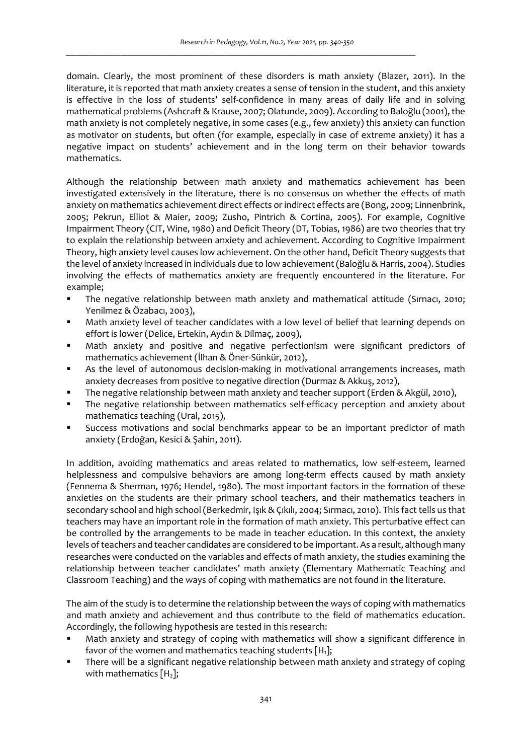domain. Clearly, the most prominent of these disorders is math anxiety (Blazer, 2011). In the literature, it is reported that math anxiety creates a sense of tension in the student, and this anxiety is effective in the loss of students' self-confidence in many areas of daily life and in solving mathematical problems (Ashcraft & Krause, 2007; Olatunde, 2009). According to Baloğlu (2001), the math anxiety is not completely negative, in some cases (e.g., few anxiety) this anxiety can function as motivator on students, but often (for example, especially in case of extreme anxiety) it has a negative impact on students' achievement and in the long term on their behavior towards mathematics.

Although the relationship between math anxiety and mathematics achievement has been investigated extensively in the literature, there is no consensus on whether the effects of math anxiety on mathematics achievement direct effects or indirect effects are (Bong, 2009; Linnenbrink, 2005; Pekrun, Elliot & Maier, 2009; Zusho, Pintrich & Cortina, 2005). For example, Cognitive Impairment Theory (CIT, Wine, 1980) and Deficit Theory (DT, Tobias, 1986) are two theories that try to explain the relationship between anxiety and achievement. According to Cognitive Impairment Theory, high anxiety level causes low achievement. On the other hand, Deficit Theory suggests that the level of anxiety increased in individuals due to low achievement (Baloğlu & Harris, 2004). Studies involving the effects of mathematics anxiety are frequently encountered in the literature. For example;

- The negative relationship between math anxiety and mathematical attitude (Sırnacı, 2010; Yenilmez & Özabacı, 2003),
- Math anxiety level of teacher candidates with a low level of belief that learning depends on effort is lower (Delice, Ertekin, Aydın & Dilmaç, 2009),
- Math anxiety and positive and negative perfectionism were significant predictors of mathematics achievement (İlhan & Öner-Sünkür, 2012),
- As the level of autonomous decision-making in motivational arrangements increases, math anxiety decreases from positive to negative direction (Durmaz & Akkuş, 2012),
- The negative relationship between math anxiety and teacher support (Erden & Akgül, 2010),
- The negative relationship between mathematics self-efficacy perception and anxiety about mathematics teaching (Ural, 2015),
- Success motivations and social benchmarks appear to be an important predictor of math anxiety (Erdoğan, Kesici & Şahin, 2011).

In addition, avoiding mathematics and areas related to mathematics, low self-esteem, learned helplessness and compulsive behaviors are among long-term effects caused by math anxiety (Fennema & Sherman, 1976; Hendel, 1980). The most important factors in the formation of these anxieties on the students are their primary school teachers, and their mathematics teachers in secondary school and high school (Berkedmir, Işık & Çıkılı, 2004; Sırmacı, 2010). This fact tells us that teachers may have an important role in the formation of math anxiety. This perturbative effect can be controlled by the arrangements to be made in teacher education. In this context, the anxiety levels of teachers and teacher candidates are considered to be important. As a result, although many researches were conducted on the variables and effects of math anxiety, the studies examining the relationship between teacher candidates' math anxiety (Elementary Mathematic Teaching and Classroom Teaching) and the ways of coping with mathematics are not found in the literature.

The aim of the study is to determine the relationship between the ways of coping with mathematics and math anxiety and achievement and thus contribute to the field of mathematics education. Accordingly, the following hypothesis are tested in this research:

- Math anxiety and strategy of coping with mathematics will show a significant difference in favor of the women and mathematics teaching students  $[H_1]$ ;
- There will be a significant negative relationship between math anxiety and strategy of coping with mathematics  $[H_2]$ ;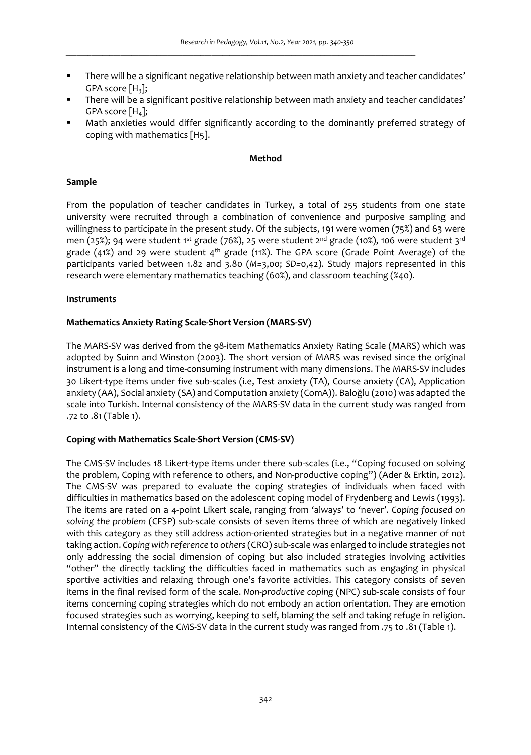- There will be a significant negative relationship between math anxiety and teacher candidates' GPA score  $[H_3]$ ;
- There will be a significant positive relationship between math anxiety and teacher candidates' GPA score  $[H_4]$ ;
- Math anxieties would differ significantly according to the dominantly preferred strategy of coping with mathematics [H5].

#### **Method**

## **Sample**

From the population of teacher candidates in Turkey, a total of 255 students from one state university were recruited through a combination of convenience and purposive sampling and willingness to participate in the present study. Of the subjects, 191 were women (75%) and 63 were men (25%); 94 were student 1st grade (76%), 25 were student  $2^{nd}$  grade (10%), 106 were student 3<sup>rd</sup> grade (41%) and 29 were student 4th grade (11%). The GPA score (Grade Point Average) of the participants varied between 1.82 and 3.80 (*M=*3,00; *SD=*0,42). Study majors represented in this research were elementary mathematics teaching (60%), and classroom teaching (%40).

### **Instruments**

### **Mathematics Anxiety Rating Scale-Short Version (MARS-SV)**

The MARS-SV was derived from the 98-item Mathematics Anxiety Rating Scale (MARS) which was adopted by Suinn and Winston (2003). The short version of MARS was revised since the original instrument is a long and time-consuming instrument with many dimensions. The MARS-SV includes 30 Likert-type items under five sub-scales (i.e, Test anxiety (TA), Course anxiety (CA), Application anxiety (AA), Social anxiety (SA) and Computation anxiety (ComA)). Baloğlu (2010) was adapted the scale into Turkish. Internal consistency of the MARS-SV data in the current study was ranged from .72 to .81 (Table 1).

# **Coping with Mathematics Scale-Short Version (CMS-SV)**

The CMS-SV includes 18 Likert-type items under there sub-scales (i.e., "Coping focused on solving the problem, Coping with reference to others, and Non-productive coping") (Ader & Erktin, 2012). The CMS-SV was prepared to evaluate the coping strategies of individuals when faced with difficulties in mathematics based on the adolescent coping model of Frydenberg and Lewis (1993). The items are rated on a 4-point Likert scale, ranging from 'always' to 'never'. *Coping focused on solving the problem* (CFSP) sub-scale consists of seven items three of which are negatively linked with this category as they still address action-oriented strategies but in a negative manner of not taking action. *Coping with reference to others* (CRO) sub-scale was enlarged to include strategies not only addressing the social dimension of coping but also included strategies involving activities "other" the directly tackling the difficulties faced in mathematics such as engaging in physical sportive activities and relaxing through one's favorite activities. This category consists of seven items in the final revised form of the scale. *Non-productive coping* (NPC) sub-scale consists of four items concerning coping strategies which do not embody an action orientation. They are emotion focused strategies such as worrying, keeping to self, blaming the self and taking refuge in religion. Internal consistency of the CMS-SV data in the current study was ranged from .75 to .81 (Table 1).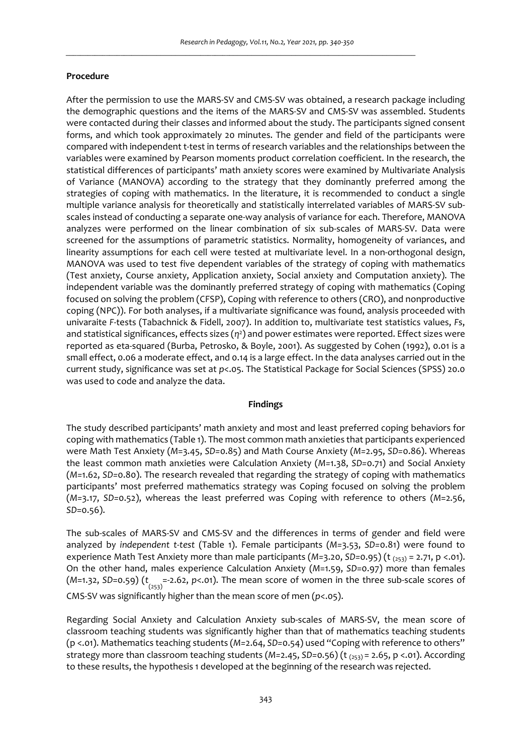# **Procedure**

After the permission to use the MARS-SV and CMS-SV was obtained, a research package including the demographic questions and the items of the MARS-SV and CMS-SV was assembled. Students were contacted during their classes and informed about the study. The participants signed consent forms, and which took approximately 20 minutes. The gender and field of the participants were compared with independent t-test in terms of research variables and the relationships between the variables were examined by Pearson moments product correlation coefficient. In the research, the statistical differences of participants' math anxiety scores were examined by Multivariate Analysis of Variance (MANOVA) according to the strategy that they dominantly preferred among the strategies of coping with mathematics. In the literature, it is recommended to conduct a single multiple variance analysis for theoretically and statistically interrelated variables of MARS-SV subscales instead of conducting a separate one-way analysis of variance for each. Therefore, MANOVA analyzes were performed on the linear combination of six sub-scales of MARS-SV. Data were screened for the assumptions of parametric statistics. Normality, homogeneity of variances, and linearity assumptions for each cell were tested at multivariate level. In a non-orthogonal design, MANOVA was used to test five dependent variables of the strategy of coping with mathematics (Test anxiety, Course anxiety, Application anxiety, Social anxiety and Computation anxiety). The independent variable was the dominantly preferred strategy of coping with mathematics (Coping focused on solving the problem (CFSP), Coping with reference to others (CRO), and nonproductive coping (NPC)). For both analyses, if a multivariate significance was found, analysis proceeded with univaraite *F*-tests (Tabachnick & Fidell, 2007). In addition to, multivariate test statistics values, *F*s, and statistical significances, effects sizes ( $\eta$ <sup>2</sup>) and power estimates were reported. Effect sizes were reported as eta-squared (Burba, Petrosko, & Boyle, 2001). As suggested by Cohen (1992), 0.01 is a small effect, 0.06 a moderate effect, and 0.14 is a large effect. In the data analyses carried out in the current study, significance was set at *p*<.05. The Statistical Package for Social Sciences (SPSS) 20.0 was used to code and analyze the data.

#### **Findings**

The study described participants' math anxiety and most and least preferred coping behaviors for coping with mathematics (Table 1). The most common math anxieties that participants experienced were Math Test Anxiety (*M*=3.45, *SD=*0.85) and Math Course Anxiety (*M=*2.95, *SD=*0.86). Whereas the least common math anxieties were Calculation Anxiety (*M=*1.38, *SD=*0.71) and Social Anxiety (*M=*1.62, *SD=*0.80). The research revealed that regarding the strategy of coping with mathematics participants' most preferred mathematics strategy was Coping focused on solving the problem (*M=*3.17, *SD=*0.52), whereas the least preferred was Coping with reference to others (*M*=2.56, *SD*=0.56).

The sub-scales of MARS-SV and CMS-SV and the differences in terms of gender and field were analyzed by *independent t-test* (Table 1). Female participants (*M=*3.53, *SD=*0.81) were found to experience Math Test Anxiety more than male participants (*M=*3.20, *SD=*0.95) (t (253) = 2.71, p <.01). On the other hand, males experience Calculation Anxiety (*M*=1.59, *SD*=0.97) more than females (M=1.32, SD=0.59) (t<sub>(253)</sub> =-2.62, p<.01). The mean score of women in the three sub-scale scores of CMS-SV was significantly higher than the mean score of men (*p*<.05).

Regarding Social Anxiety and Calculation Anxiety sub-scales of MARS-SV, the mean score of classroom teaching students was significantly higher than that of mathematics teaching students (p <.01). Mathematics teaching students (*M=*2.64, *SD=*0.54) used "Coping with reference to others" strategy more than classroom teaching students (*M=*2.45, *SD=*0.56) (t (253) = 2.65, p <.01). According to these results, the hypothesis 1 developed at the beginning of the research was rejected.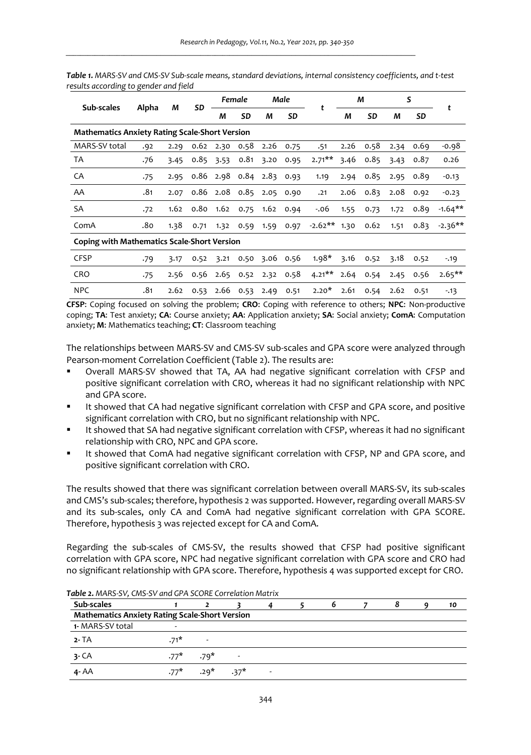| Sub-scales                                                                                                                 |       |      |      |      | Female                   |                | Male | t              | М    |                      | S    |      |                 |
|----------------------------------------------------------------------------------------------------------------------------|-------|------|------|------|--------------------------|----------------|------|----------------|------|----------------------|------|------|-----------------|
|                                                                                                                            | Alpha | М    | SD   | М    | SD                       | М              | SD   |                | М    | SD                   | M    | SD   | t               |
| <b>Mathematics Anxiety Rating Scale-Short Version</b>                                                                      |       |      |      |      |                          |                |      |                |      |                      |      |      |                 |
| MARS-SV total                                                                                                              | .92   | 2.29 | 0.62 | 2.30 | 0.58                     | 2.26           | 0.75 | .51            | 2.26 | 0.58                 | 2.34 | 0.69 | $-0.98$         |
| <b>TA</b>                                                                                                                  | .76   | 3.45 | 0.85 | 3.53 | 0.81                     | 3.20           | 0.95 | $2.71***$      | 3.46 | 0.85                 | 3.43 | 0.87 | 0.26            |
| CA                                                                                                                         | .75   | 2.95 |      |      | 0.86 2.98 0.84 2.83 0.93 |                |      | 1.19           | 2.94 | 0.85                 | 2.95 | 0.89 | $-0.13$         |
| AA                                                                                                                         | .81   | 2.07 |      |      | 0.86 2.08 0.85 2.05 0.90 |                |      | .21            |      | $2.06$ $0.83$ $2.08$ |      | 0.92 | $-0.23$         |
| SA                                                                                                                         | .72   | 1.62 |      |      | 0.80 1.62 0.75 1.62 0.94 |                |      | $-.06$         | 1.55 | 0.73                 | 1.72 | 0.89 | $-1.64***$      |
| ComA                                                                                                                       | .8٥   | 1.38 | 0.71 |      | 1.32 0.59 1.59           |                | 0.97 | $-2.62**$ 1.30 |      | 0.62                 | 1.51 |      | $0.83 - 2.36**$ |
| <b>Coping with Mathematics Scale-Short Version</b>                                                                         |       |      |      |      |                          |                |      |                |      |                      |      |      |                 |
| <b>CFSP</b>                                                                                                                | .79   | 3.17 | 0.52 | 3.21 |                          | 0.50 3.06 0.56 |      | $1.98*$        | 3.16 | 0.52                 | 3.18 | 0.52 | $-19$           |
| <b>CRO</b>                                                                                                                 | .75   | 2.56 | 0.56 |      | 2.65 0.52 2.32 0.58      |                |      | $4.21***$      | 2.64 | 0.54                 | 2.45 | 0.56 | $2.65***$       |
| <b>NPC</b><br>rran about a fact of the said and the south of a same about the outcome of the same above. Also would be the | .81   | 2.62 | 0.53 |      | 2.66 0.53 2.49           |                | 0.51 | $2.20*$        | 2.61 | 0.54                 | 2.62 | 0.51 | $-13$           |

*Table 1. MARS-SV and CMS-SV Sub-scale means, standard deviations, internal consistency coefficients, and t-test results according to gender and field* 

**CFSP**: Coping focused on solving the problem; **CRO**: Coping with reference to others; **NPC**: Non-productive coping; **TA**: Test anxiety; **CA**: Course anxiety; **AA**: Application anxiety; **SA**: Social anxiety; **ComA**: Computation anxiety; **M**: Mathematics teaching; **CT**: Classroom teaching

The relationships between MARS-SV and CMS-SV sub-scales and GPA score were analyzed through Pearson-moment Correlation Coefficient (Table 2). The results are:

- Overall MARS-SV showed that TA, AA had negative significant correlation with CFSP and positive significant correlation with CRO, whereas it had no significant relationship with NPC and GPA score.
- It showed that CA had negative significant correlation with CFSP and GPA score, and positive significant correlation with CRO, but no significant relationship with NPC.
- It showed that SA had negative significant correlation with CFSP, whereas it had no significant relationship with CRO, NPC and GPA score.
- It showed that ComA had negative significant correlation with CFSP, NP and GPA score, and positive significant correlation with CRO.

The results showed that there was significant correlation between overall MARS-SV, its sub-scales and CMS's sub-scales; therefore, hypothesis 2 was supported. However, regarding overall MARS-SV and its sub-scales, only CA and ComA had negative significant correlation with GPA SCORE. Therefore, hypothesis 3 was rejected except for CA and ComA.

Regarding the sub-scales of CMS-SV, the results showed that CFSP had positive significant correlation with GPA score, NPC had negative significant correlation with GPA score and CRO had no significant relationship with GPA score. Therefore, hypothesis 4 was supported except for CRO.

| Sub-scales                                            |        |                          |  |                          | D | o | 10 |
|-------------------------------------------------------|--------|--------------------------|--|--------------------------|---|---|----|
| <b>Mathematics Anxiety Rating Scale-Short Version</b> |        |                          |  |                          |   |   |    |
| 1- MARS-SV total                                      |        |                          |  |                          |   |   |    |
| $2 - TA$                                              | $.71*$ | $\overline{\phantom{a}}$ |  |                          |   |   |    |
| $3 - CA$                                              | $.77*$ | $.79*$                   |  |                          |   |   |    |
| $4 - AA$                                              | $.77*$ | $.29^*$ $.37^*$          |  | $\overline{\phantom{a}}$ |   |   |    |

*Table 2. MARS-SV, CMS-SV and GPA SCORE Correlation Matrix*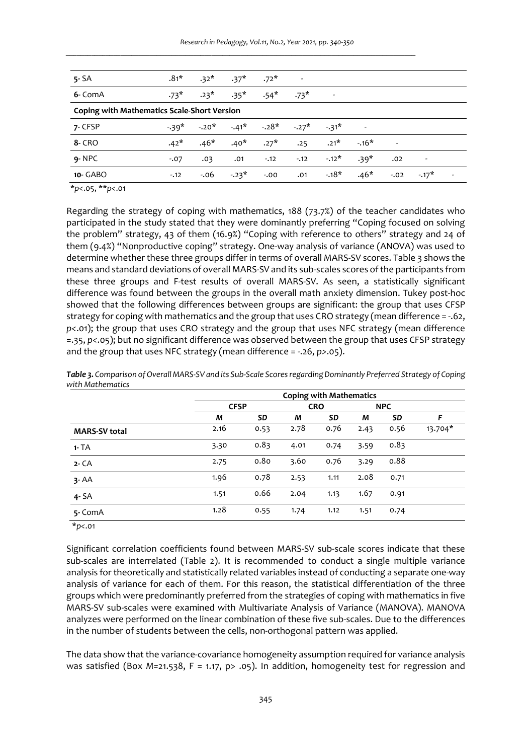| $5 - SA$                                           | $.81*$ | $.32*$  | $.37*$          | $.72*$                              | $\sim 100$ km s $^{-1}$ |                         |        |                          |                          |  |
|----------------------------------------------------|--------|---------|-----------------|-------------------------------------|-------------------------|-------------------------|--------|--------------------------|--------------------------|--|
| 6- ComA                                            | $.73*$ | $.23*$  | $.35^*$ $.54^*$ |                                     | $.73*$                  | $\sim 100$ km s $^{-1}$ |        |                          |                          |  |
| <b>Coping with Mathematics Scale-Short Version</b> |        |         |                 |                                     |                         |                         |        |                          |                          |  |
| 7- CFSP                                            | $-39*$ | $-.20*$ |                 | $-.41^*$ $-.28^*$ $-.27^*$ $-.31^*$ |                         |                         |        |                          |                          |  |
| <b>8- CRO</b>                                      | $.42*$ | $.46*$  | $.40*$          | $.27*$                              | .25                     | $.21*$                  | $-16*$ | $\overline{\phantom{a}}$ |                          |  |
| $9 - NPC$                                          | $-.07$ | .03     | .01             | $-12$                               | $-.12$                  | $-.12*$                 | $.39*$ | .02                      | $\overline{\phantom{a}}$ |  |
| 10- GABO                                           | $-12$  | $-0.06$ | $-23*$          | $-0.00$                             | .01                     | $-18*$                  | $.46*$ | $-.02$                   | $-17*$                   |  |

\**p<*.05, \*\**p<*.01

Regarding the strategy of coping with mathematics, 188 (73.7%) of the teacher candidates who participated in the study stated that they were dominantly preferring "Coping focused on solving the problem" strategy, 43 of them (16.9%) "Coping with reference to others" strategy and 24 of them (9.4%) "Nonproductive coping" strategy. One-way analysis of variance (ANOVA) was used to determine whether these three groups differ in terms of overall MARS-SV scores. Table 3 shows the means and standard deviations of overall MARS-SV and its sub-scales scores of the participants from these three groups and F-test results of overall MARS-SV. As seen, a statistically significant difference was found between the groups in the overall math anxiety dimension. Tukey post-hoc showed that the following differences between groups are significant: the group that uses CFSP strategy for coping with mathematics and the group that uses CRO strategy (mean difference = -.62, *p<*.01); the group that uses CRO strategy and the group that uses NFC strategy (mean difference =.35, *p<*.05); but no significant difference was observed between the group that uses CFSP strategy and the group that uses NFC strategy (mean difference = -.26, *p>*.05).

|                      | <b>Coping with Mathematics</b> |      |      |            |            |      |         |  |  |
|----------------------|--------------------------------|------|------|------------|------------|------|---------|--|--|
|                      | <b>CFSP</b>                    |      |      | <b>CRO</b> | <b>NPC</b> |      |         |  |  |
|                      | M                              | SD   | М    | SD         | М          | SD   | F       |  |  |
| <b>MARS-SV total</b> | 2.16                           | 0.53 | 2.78 | 0.76       | 2.43       | 0.56 | 13.704* |  |  |
| $1 - TA$             | 3.30                           | 0.83 | 4.01 | 0.74       | 3.59       | 0.83 |         |  |  |
| $2 - CA$             | 2.75                           | 0.80 | 3.60 | 0.76       | 3.29       | 0.88 |         |  |  |
| $3 - AA$             | 1.96                           | 0.78 | 2.53 | 1.11       | 2.08       | 0.71 |         |  |  |
| $4 - SA$             | 1.51                           | 0.66 | 2.04 | 1.13       | 1.67       | 0.91 |         |  |  |
| 5- ComA              | 1.28                           | 0.55 | 1.74 | 1.12       | 1.51       | 0.74 |         |  |  |

*Table 3. Comparison of Overall MARS-SV and its Sub-Scale Scores regarding Dominantly Preferred Strategy of Coping with Mathematics* 

\**p<*.01

Significant correlation coefficients found between MARS-SV sub-scale scores indicate that these sub-scales are interrelated (Table 2). It is recommended to conduct a single multiple variance analysis for theoretically and statistically related variables instead of conducting a separate one-way analysis of variance for each of them. For this reason, the statistical differentiation of the three groups which were predominantly preferred from the strategies of coping with mathematics in five MARS-SV sub-scales were examined with Multivariate Analysis of Variance (MANOVA). MANOVA analyzes were performed on the linear combination of these five sub-scales. Due to the differences in the number of students between the cells, non-orthogonal pattern was applied.

The data show that the variance-covariance homogeneity assumption required for variance analysis was satisfied (Box *M*=21.538, F = 1.17, p> .05). In addition, homogeneity test for regression and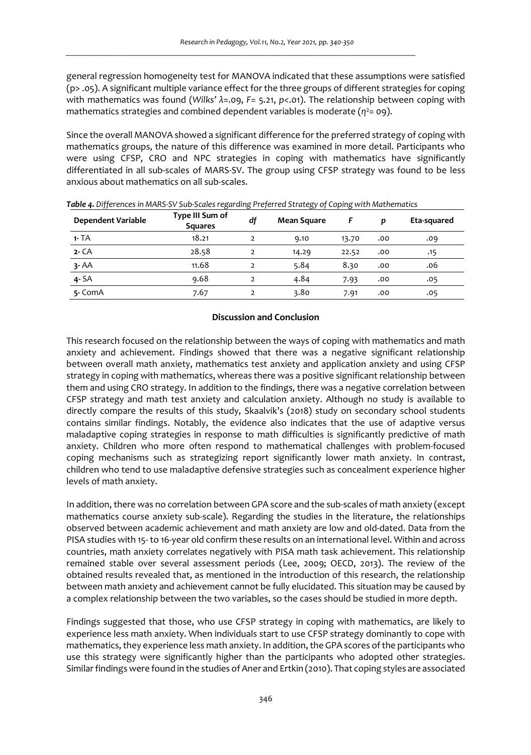general regression homogeneity test for MANOVA indicated that these assumptions were satisfied (p> .05). A significant multiple variance effect for the three groups of different strategies for coping with mathematics was found (*Wilks' λ*=.09, *F*= 5.21, *p<*.01). The relationship between coping with mathematics strategies and combined dependent variables is moderate  $(\eta^2 = 0.9)$ .

Since the overall MANOVA showed a significant difference for the preferred strategy of coping with mathematics groups, the nature of this difference was examined in more detail. Participants who were using CFSP, CRO and NPC strategies in coping with mathematics have significantly differentiated in all sub-scales of MARS-SV. The group using CFSP strategy was found to be less anxious about mathematics on all sub-scales.

| <b>Dependent Variable</b> | Type III Sum of<br><b>Squares</b> | df             | <b>Mean Square</b> | F     | p   | Eta-squared |
|---------------------------|-----------------------------------|----------------|--------------------|-------|-----|-------------|
| $1 - TA$                  | 18.21                             |                | 9.10               | 13.70 | .00 | .09         |
| $2 - CA$                  | 28.58                             | $\overline{2}$ | 14.29              | 22.52 | .00 | .15         |
| 3- AA                     | 11.68                             |                | 5.84               | 8.30  | .00 | .06         |
| $4 - SA$                  | 9.68                              | $\mathcal{P}$  | 4.84               | 7.93  | .00 | .05         |
| 5- ComA                   | 7.67                              |                | 3.80               | 7.91  | .00 | .05         |

*Table 4. Differences in MARS-SV Sub-Scales regarding Preferred Strategy of Coping with Mathematics* 

### **Discussion and Conclusion**

This research focused on the relationship between the ways of coping with mathematics and math anxiety and achievement. Findings showed that there was a negative significant relationship between overall math anxiety, mathematics test anxiety and application anxiety and using CFSP strategy in coping with mathematics, whereas there was a positive significant relationship between them and using CRO strategy. In addition to the findings, there was a negative correlation between CFSP strategy and math test anxiety and calculation anxiety. Although no study is available to directly compare the results of this study, Skaalvik's (2018) study on secondary school students contains similar findings. Notably, the evidence also indicates that the use of adaptive versus maladaptive coping strategies in response to math difficulties is significantly predictive of math anxiety. Children who more often respond to mathematical challenges with problem-focused coping mechanisms such as strategizing report significantly lower math anxiety. In contrast, children who tend to use maladaptive defensive strategies such as concealment experience higher levels of math anxiety.

In addition, there was no correlation between GPA score and the sub-scales of math anxiety (except mathematics course anxiety sub-scale). Regarding the studies in the literature, the relationships observed between academic achievement and math anxiety are low and old-dated. Data from the PISA studies with 15- to 16-year old confirm these results on an international level. Within and across countries, math anxiety correlates negatively with PISA math task achievement. This relationship remained stable over several assessment periods (Lee, 2009; OECD, 2013). The review of the obtained results revealed that, as mentioned in the introduction of this research, the relationship between math anxiety and achievement cannot be fully elucidated. This situation may be caused by a complex relationship between the two variables, so the cases should be studied in more depth.

Findings suggested that those, who use CFSP strategy in coping with mathematics, are likely to experience less math anxiety. When individuals start to use CFSP strategy dominantly to cope with mathematics, they experience less math anxiety. In addition, the GPA scores of the participants who use this strategy were significantly higher than the participants who adopted other strategies. Similar findings were found in the studies of Aner and Ertkin (2010). That coping styles are associated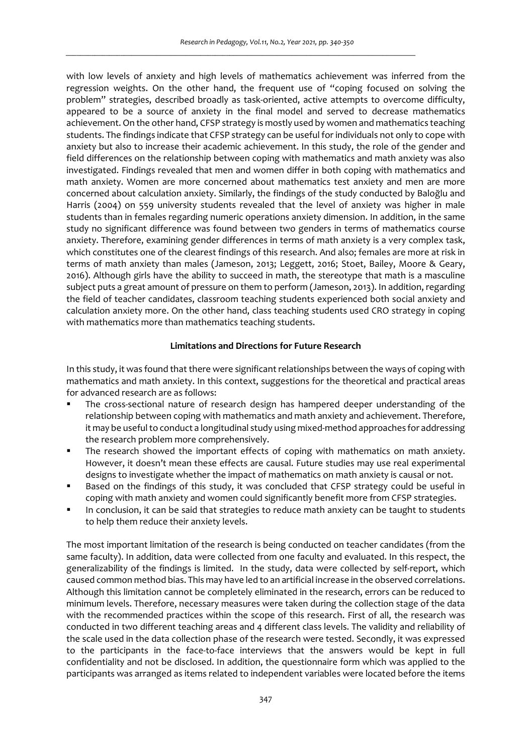with low levels of anxiety and high levels of mathematics achievement was inferred from the regression weights. On the other hand, the frequent use of "coping focused on solving the problem" strategies, described broadly as task-oriented, active attempts to overcome difficulty, appeared to be a source of anxiety in the final model and served to decrease mathematics achievement. On the other hand, CFSP strategy is mostly used by women and mathematics teaching students. The findings indicate that CFSP strategy can be useful for individuals not only to cope with anxiety but also to increase their academic achievement. In this study, the role of the gender and field differences on the relationship between coping with mathematics and math anxiety was also investigated. Findings revealed that men and women differ in both coping with mathematics and math anxiety. Women are more concerned about mathematics test anxiety and men are more concerned about calculation anxiety. Similarly, the findings of the study conducted by Baloğlu and Harris (2004) on 559 university students revealed that the level of anxiety was higher in male students than in females regarding numeric operations anxiety dimension. In addition, in the same study no significant difference was found between two genders in terms of mathematics course anxiety. Therefore, examining gender differences in terms of math anxiety is a very complex task, which constitutes one of the clearest findings of this research. And also; females are more at risk in terms of math anxiety than males (Jameson, 2013; Leggett, 2016; Stoet, Bailey, Moore & Geary, 2016). Although girls have the ability to succeed in math, the stereotype that math is a masculine subject puts a great amount of pressure on them to perform (Jameson, 2013). In addition, regarding the field of teacher candidates, classroom teaching students experienced both social anxiety and calculation anxiety more. On the other hand, class teaching students used CRO strategy in coping with mathematics more than mathematics teaching students.

# **Limitations and Directions for Future Research**

In this study, it was found that there were significant relationships between the ways of coping with mathematics and math anxiety. In this context, suggestions for the theoretical and practical areas for advanced research are as follows:

- The cross-sectional nature of research design has hampered deeper understanding of the relationship between coping with mathematics and math anxiety and achievement. Therefore, it may be useful to conduct a longitudinal study using mixed-method approaches for addressing the research problem more comprehensively.
- The research showed the important effects of coping with mathematics on math anxiety. However, it doesn't mean these effects are causal. Future studies may use real experimental designs to investigate whether the impact of mathematics on math anxiety is causal or not.
- Based on the findings of this study, it was concluded that CFSP strategy could be useful in coping with math anxiety and women could significantly benefit more from CFSP strategies.
- In conclusion, it can be said that strategies to reduce math anxiety can be taught to students to help them reduce their anxiety levels.

The most important limitation of the research is being conducted on teacher candidates (from the same faculty). In addition, data were collected from one faculty and evaluated. In this respect, the generalizability of the findings is limited. In the study, data were collected by self-report, which caused common method bias. This may have led to an artificial increase in the observed correlations. Although this limitation cannot be completely eliminated in the research, errors can be reduced to minimum levels. Therefore, necessary measures were taken during the collection stage of the data with the recommended practices within the scope of this research. First of all, the research was conducted in two different teaching areas and 4 different class levels. The validity and reliability of the scale used in the data collection phase of the research were tested. Secondly, it was expressed to the participants in the face-to-face interviews that the answers would be kept in full confidentiality and not be disclosed. In addition, the questionnaire form which was applied to the participants was arranged as items related to independent variables were located before the items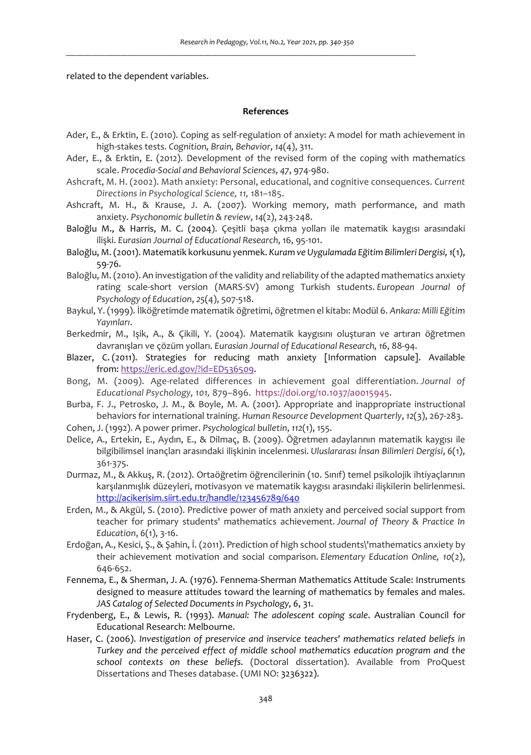related to the dependent variables.

### **References**

- Ader, E., & Erktin, E. (2010). Coping as self-regulation of anxiety: A model for math achievement in high-stakes tests. *Cognition, Brain, Behavior*, *14*(4), 311.
- Ader, E., & Erktin, E. (2012). Development of the revised form of the coping with mathematics scale. *Procedia-Social and Behavioral Sciences*, *47*, 974-980.
- Ashcraft, M. H. (2002). Math anxiety: Personal, educational, and cognitive consequences. *Current Directions in Psychological Science, 11,* 181–185.
- Ashcraft, M. H., & Krause, J. A. (2007). Working memory, math performance, and math anxiety. *Psychonomic bulletin & review*, *14*(2), 243-248.
- Baloğlu M., & Harris, M. C. (2004). Çeşitli başa çıkma yolları ile matematik kaygısı arasındaki ilişki. *Eurasian Journal of Educational Research*, 16, 95-101.
- Baloğlu, M. (2001). Matematik korkusunu yenmek. *Kuram ve Uygulamada Eğitim Bilimleri Dergisi, 1*(1), 59-76.
- Baloğlu, M. (2010). An investigation of the validity and reliability of the adapted mathematics anxiety rating scale-short version (MARS-SV) among Turkish students. *European Journal of Psychology of Education*, *25*(4), 507-518.
- Baykul, Y. (1999). İlköğretimde matematik öğretimi, öğretmen el kitabı: Modül 6. *Ankara: Milli Eğitim Yayınları*.
- Berkedmir, M., Işik, A., & Çikili, Y. (2004). Matematik kaygısını oluşturan ve artıran öğretmen davranışları ve çözüm yolları. *Eurasian Journal of Educational Research, 16*, 88-94.
- Blazer, C. (2011). Strategies for reducing math anxiety [Information capsule]. Available from: https://eric.ed.gov/?id=ED536509.
- Bong, M. (2009). Age-related differences in achievement goal differentiation. *Journal of Educational Psychology, 101,* 879–896. https://doi.org/10.1037/a0015945.
- Burba, F. J., Petrosko, J. M., & Boyle, M. A. (2001). Appropriate and inappropriate instructional behaviors for international training. *Human Resource Development Quarterly*, *12*(3), 267-283.
- Cohen, J. (1992). A power primer. *Psychological bulletin*, *112*(1), 155.
- Delice, A., Ertekin, E., Aydın, E., & Dilmaç, B. (2009). Öğretmen adaylarının matematik kaygısı ile bilgibilimsel inançları arasındaki ilişkinin incelenmesi. *Uluslararası İnsan Bilimleri Dergisi*, *6*(1), 361-375.
- Durmaz, M., & Akkuş, R. (2012). Ortaöğretim öğrencilerinin (10. Sınıf) temel psikolojik ihtiyaçlarının karşılanmışlık düzeyleri, motivasyon ve matematik kaygısı arasındaki ilişkilerin belirlenmesi. http://acikerisim.siirt.edu.tr/handle/123456789/640
- Erden, M., & Akgül, S. (2010). Predictive power of math anxiety and perceived social support from teacher for primary students' mathematics achievement. *Journal of Theory & Practice In Education*, *6*(1), 3-16.
- Erdoğan, A., Kesici, Ş., & Şahin, İ. (2011). Prediction of high school students\'mathematics anxiety by their achievement motivation and social comparison. *Elementary Education Online, 10*(2), 646-652.
- Fennema, E., & Sherman, J. A. (1976). Fennema-Sherman Mathematics Attitude Scale: Instruments designed to measure attitudes toward the learning of mathematics by females and males. *JAS Catalog of Selected Documents in Psychology, 6*, 31.
- Frydenberg, E., & Lewis, R. (1993). *Manual: The adolescent coping scale*. Australian Council for Educational Research: Melbourne.
- Haser, C. (2006). *Investigation of preservice and inservice teachers' mathematics related beliefs in Turkey and the perceived effect of middle school mathematics education program and the school contexts on these beliefs*. (Doctoral dissertation). Available from ProQuest Dissertations and Theses database. (UMI NO: 3236322).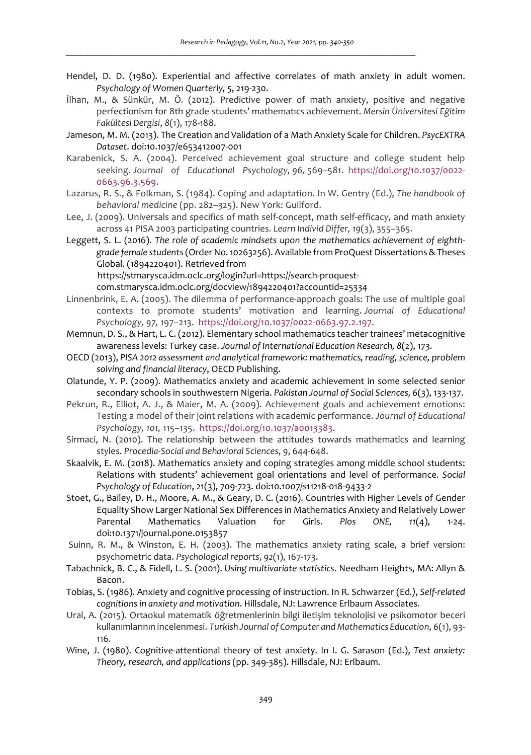- Hendel, D. D. (1980). Experiential and affective correlates of math anxiety in adult women. *Psychology of Women Quarterly, 5*, 219-230.
- İlhan, M., & Sünkür, M. Ö. (2012). Predictive power of math anxiety, positive and negative perfectionism for 8th grade students' mathematıcs achievement. *Mersin Üniversitesi Eğitim Fakültesi Dergisi*, *8*(1), 178-188.
- Jameson, M. M. (2013). The Creation and Validation of a Math Anxiety Scale for Children. *PsycEXTRA Dataset*. doi:10.1037/e653412007-001
- Karabenick, S. A. (2004). Perceived achievement goal structure and college student help seeking. *Journal of Educational Psychology, 96,* 569–581. https://doi.org/10.1037/0022- 0663.96.3.569.
- Lazarus, R. S., & Folkman, S. (1984). Coping and adaptation. In W. Gentry (Ed.), *The handbook of behavioral medicine* (pp. 282–325). New York: Guilford.
- Lee, J. (2009). Universals and specifics of math self-concept, math self-efficacy, and math anxiety across 41 PISA 2003 participating countries. *Learn Individ Differ, 19*(3), 355–365.
- Leggett, S. L. (2016). *The role of academic mindsets upon the mathematics achievement of eighthgrade female students* (Order No. 10263256). Available from ProQuest Dissertations & Theses Global. (1894220401). Retrieved from

https://stmarysca.idm.oclc.org/login?url=https://search-proquest-

com.stmarysca.idm.oclc.org/docview/1894220401?accountid=25334

- Linnenbrink, E. A. (2005). The dilemma of performance-approach goals: The use of multiple goal contexts to promote students' motivation and learning. *Journal of Educational Psychology, 97,* 197–213. https://doi.org/10.1037/0022-0663.97.2.197.
- Memnun, D. S., & Hart, L. C. (2012). Elementary school mathematics teacher trainees' metacognitive awareness levels: Turkey case. *Journal of International Education Research, 8*(2), 173.
- OECD (2013), *PISA 2012 assessment and analytical framework: mathematics, reading, science, problem solving and financial literacy*, OECD Publishing.
- Olatunde, Y. P. (2009). Mathematics anxiety and academic achievement in some selected senior secondary schools in southwestern Nigeria. *Pakistan Journal of Social Sciences, 6*(3), 133-137.
- Pekrun, R., Elliot, A. J., & Maier, M. A. (2009). Achievement goals and achievement emotions: Testing a model of their joint relations with academic performance. *Journal of Educational Psychology, 101,* 115–135. https://doi.org/10.1037/a0013383.
- Sirmaci, N. (2010). The relationship between the attitudes towards mathematics and learning styles. *Procedia-Social and Behavioral Sciences*, *9*, 644-648.
- Skaalvik, E. M. (2018). Mathematics anxiety and coping strategies among middle school students: Relations with students' achievement goal orientations and level of performance. *Social Psychology of Education*, 21(3), 709-723. doi:10.1007/s11218-018-9433-2
- Stoet, G., Bailey, D. H., Moore, A. M., & Geary, D. C. (2016). Countries with Higher Levels of Gender Equality Show Larger National Sex Differences in Mathematics Anxiety and Relatively Lower Parental Mathematics Valuation for Girls. *Plos ONE, 11*(4), 1-24. doi:10.1371/journal.pone.0153857
- Suinn, R. M., & Winston, E. H. (2003). The mathematics anxiety rating scale, a brief version: psychometric data. *Psychological reports*, *92*(1), 167-173.
- Tabachnick, B. C., & Fidell, L. S. (2001). *Using multivariate statistics*. Needham Heights, MA: Allyn & Bacon.
- Tobias, S. (1986). Anxiety and cognitive processing of instruction. In R. Schwarzer (Ed*.), Self-related cognitions in anxiety and motivation*. Hillsdale, NJ: Lawrence Erlbaum Associates.
- Ural, A. (2015). Ortaokul matematik öğretmenlerinin bilgi iletişim teknolojisi ve psikomotor beceri kullanımlarının incelenmesi. *Turkish Journal of Computer and Mathematics Education*, *6*(1), 93- 116.
- Wine, J. (1980). Cognitive-attentional theory of test anxiety. In I. G. Sarason (Ed.), *Test anxiety: Theory, research, and applications* (pp. 349-385). Hillsdale, NJ: Erlbaum.